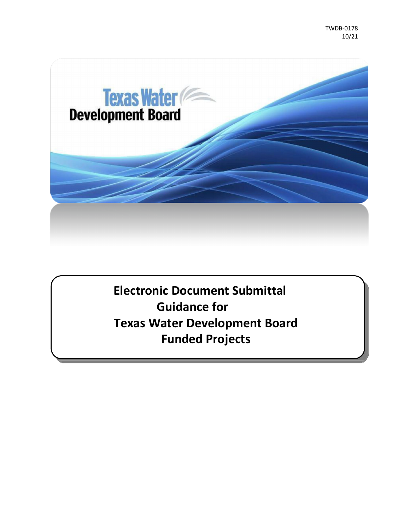

**Electronic Document Submittal Guidance for Texas Water Development Board Funded Projects**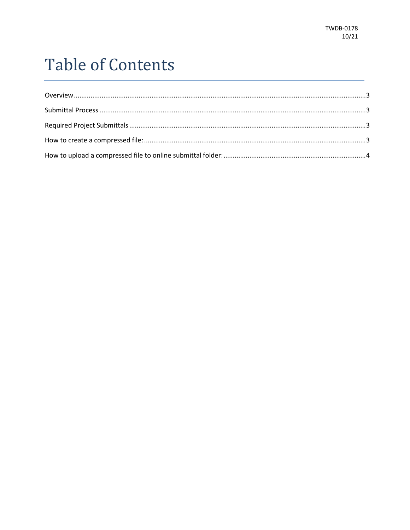# **Table of Contents**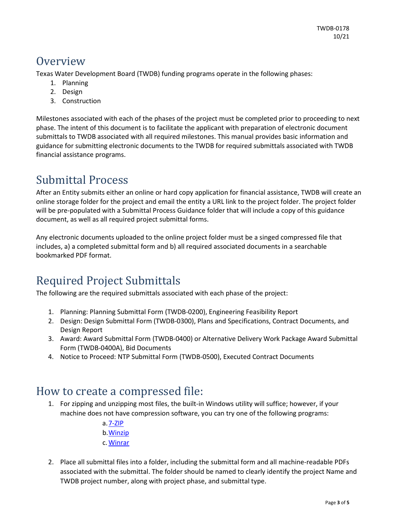#### <span id="page-2-0"></span>Overview

Texas Water Development Board (TWDB) funding programs operate in the following phases:

- 1. Planning
- 2. Design
- 3. Construction

Milestones associated with each of the phases of the project must be completed prior to proceeding to next phase. The intent of this document is to facilitate the applicant with preparation of electronic document submittals to TWDB associated with all required milestones. This manual provides basic information and guidance for submitting electronic documents to the TWDB for required submittals associated with TWDB financial assistance programs.

## <span id="page-2-1"></span>Submittal Process

After an Entity submits either an online or hard copy application for financial assistance, TWDB will create an online storage folder for the project and email the entity a URL link to the project folder. The project folder will be pre-populated with a Submittal Process Guidance folder that will include a copy of this guidance document, as well as all required project submittal forms.

Any electronic documents uploaded to the online project folder must be a singed compressed file that includes, a) a completed submittal form and b) all required associated documents in a searchable bookmarked PDF format.

## <span id="page-2-2"></span>Required Project Submittals

The following are the required submittals associated with each phase of the project:

- 1. Planning: Planning Submittal Form (TWDB-0200), Engineering Feasibility Report
- 2. Design: Design Submittal Form (TWDB-0300), Plans and Specifications, Contract Documents, and Design Report
- 3. Award: Award Submittal Form (TWDB-0400) or Alternative Delivery Work Package Award Submittal Form (TWDB-0400A), Bid Documents
- 4. Notice to Proceed: NTP Submittal Form (TWDB-0500), Executed Contract Documents

#### <span id="page-2-3"></span>How to create a compressed file:

1. For zipping and unzipping most files, the built-in Windows utility will suffice; however, if your machine does not have compression software, you can try one of the following programs:

> a[.7-ZIP](https://www.7-zip.org/) b[.Winzip](https://www.winzip.com/win/en/) c[.Winrar](https://www.win-rar.com/start.html?&L=0)

2. Place all submittal files into a folder, including the submittal form and all machine-readable PDFs associated with the submittal. The folder should be named to clearly identify the project Name and TWDB project number, along with project phase, and submittal type.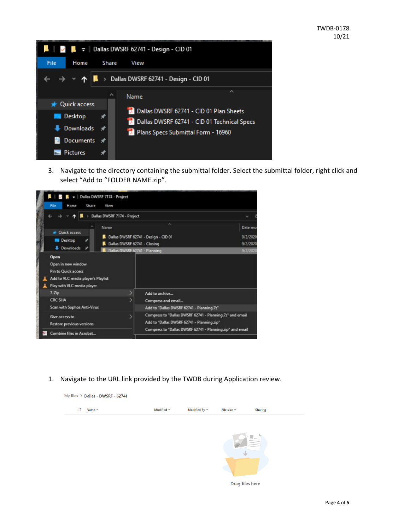| $\blacksquare$ $\blacksquare$ =   Dallas DWSRF 62741 - Design - CID 01 |                                                                                               |  |  |  |  |  |  |  |
|------------------------------------------------------------------------|-----------------------------------------------------------------------------------------------|--|--|--|--|--|--|--|
| File<br>Home                                                           | Share<br>View                                                                                 |  |  |  |  |  |  |  |
| > Dallas DWSRF 62741 - Design - CID 01                                 |                                                                                               |  |  |  |  |  |  |  |
| <b>Cuick access</b>                                                    | ㅅ<br>́<br>Name                                                                                |  |  |  |  |  |  |  |
| Desktop<br><b>Downloads</b>                                            | Dallas DWSRF 62741 - CID 01 Plan Sheets<br><b>Dellas DWSRF 62741 - CID 01 Technical Specs</b> |  |  |  |  |  |  |  |
| Documents *                                                            | Plans Specs Submittal Form - 16960                                                            |  |  |  |  |  |  |  |
| <b>Pictures</b>                                                        |                                                                                               |  |  |  |  |  |  |  |

3. Navigate to the directory containing the submittal folder. Select the submittal folder, right click and select "Add to "FOLDER NAME.zip".

| File<br>Home                                                                                                                                                                       | Share<br>View                                                         |                                                                                                                                                                                                                                                          |                                             |
|------------------------------------------------------------------------------------------------------------------------------------------------------------------------------------|-----------------------------------------------------------------------|----------------------------------------------------------------------------------------------------------------------------------------------------------------------------------------------------------------------------------------------------------|---------------------------------------------|
|                                                                                                                                                                                    | Dallas DWSRF 7174 - Project                                           |                                                                                                                                                                                                                                                          |                                             |
| <b>Duick access</b><br>Desktop<br><b>Downloads</b><br>Open<br>Open in new window<br><b>Pin to Quick access</b><br>Add to VLC media player's Playlist<br>Play with VLC media player | Name<br>Dallas DWSRF 62741 - Closing<br>Dallas DWSRF 62741 - Planning | ×<br>Dallas DWSRF 62741 - Design - CID 01                                                                                                                                                                                                                | Date mo<br>9/2/2020<br>9/2/2020<br>9/2/2020 |
| $7 - Zip$<br><b>CRC SHA</b><br>Scan with Sophos Anti-Virus<br>Give access to<br>Restore previous versions<br>Combine files in Acrobat                                              |                                                                       | Add to archive<br>Compress and email<br>Add to "Dallas DWSRF 62741 - Planning.7z"<br>Compress to "Dallas DWSRF 62741 - Planning.7z" and email<br>Add to "Dallas DWSRF 62741 - Planning.zip"<br>Compress to "Dallas DWSRF 62741 - Planning zip" and email |                                             |

<span id="page-3-0"></span>1. Navigate to the URL link provided by the TWDB during Application review.